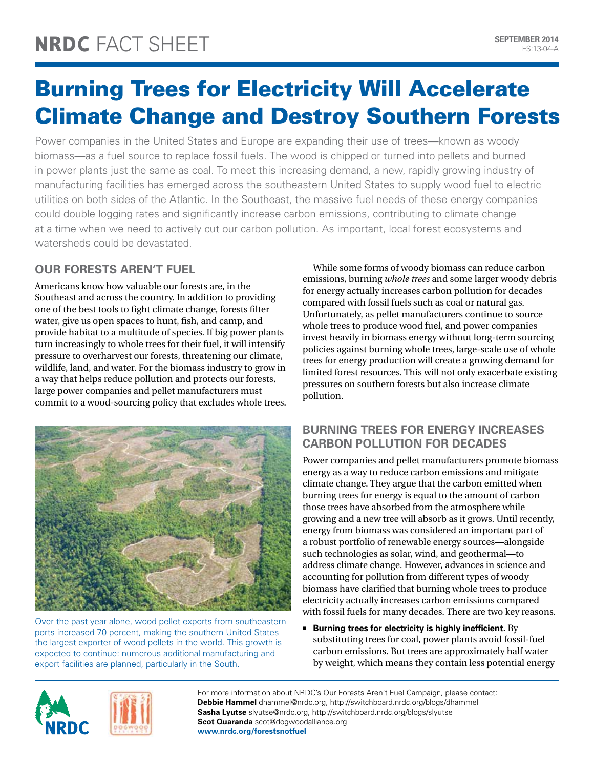# Burning Trees for Electricity Will Accelerate Climate Change and Destroy Southern Forests

Power companies in the United States and Europe are expanding their use of trees—known as woody biomass—as a fuel source to replace fossil fuels. The wood is chipped or turned into pellets and burned in power plants just the same as coal. To meet this increasing demand, a new, rapidly growing industry of manufacturing facilities has emerged across the southeastern United States to supply wood fuel to electric utilities on both sides of the Atlantic. In the Southeast, the massive fuel needs of these energy companies could double logging rates and significantly increase carbon emissions, contributing to climate change at a time when we need to actively cut our carbon pollution. As important, local forest ecosystems and watersheds could be devastated.

## **Our Forests Aren't Fuel**

Americans know how valuable our forests are, in the Southeast and across the country. In addition to providing one of the best tools to fight climate change, forests filter water, give us open spaces to hunt, fish, and camp, and provide habitat to a multitude of species. If big power plants turn increasingly to whole trees for their fuel, it will intensify pressure to overharvest our forests, threatening our climate, wildlife, land, and water. For the biomass industry to grow in a way that helps reduce pollution and protects our forests, large power companies and pellet manufacturers must commit to a wood-sourcing policy that excludes whole trees.



Over the past year alone, wood pellet exports from southeastern ports increased 70 percent, making the southern United States the largest exporter of wood pellets in the world. This growth is expected to continue: numerous additional manufacturing and export facilities are planned, particularly in the South.

While some forms of woody biomass can reduce carbon emissions, burning *whole trees* and some larger woody debris for energy actually increases carbon pollution for decades compared with fossil fuels such as coal or natural gas. Unfortunately, as pellet manufacturers continue to source whole trees to produce wood fuel, and power companies invest heavily in biomass energy without long-term sourcing policies against burning whole trees, large-scale use of whole trees for energy production will create a growing demand for limited forest resources. This will not only exacerbate existing pressures on southern forests but also increase climate pollution.

### **Burning Trees for Energy Increases Carbon Pollution for Decades**

Power companies and pellet manufacturers promote biomass energy as a way to reduce carbon emissions and mitigate climate change. They argue that the carbon emitted when burning trees for energy is equal to the amount of carbon those trees have absorbed from the atmosphere while growing and a new tree will absorb as it grows. Until recently, energy from biomass was considered an important part of a robust portfolio of renewable energy sources—alongside such technologies as solar, wind, and geothermal—to address climate change. However, advances in science and accounting for pollution from different types of woody biomass have clarified that burning whole trees to produce electricity actually increases carbon emissions compared with fossil fuels for many decades. There are two key reasons.

**E** Burning trees for electricity is highly inefficient. By substituting trees for coal, power plants avoid fossil-fuel carbon emissions. But trees are approximately half water by weight, which means they contain less potential energy

For more information about NRDC's Our Forests Aren't Fuel Campaign, please contact: **Debbie Hammel** dhammel@nrdc.org, http://switchboard.nrdc.org/blogs/dhammel **Sasha Lyutse** slyutse@nrdc.org, http://switchboard.nrdc.org/blogs/slyutse **Scot Quaranda** scot@dogwoodalliance.org **www.nrdc.org/forestsnotfuel**